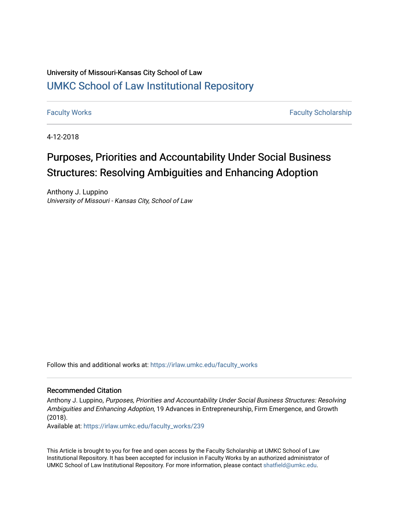# University of Missouri-Kansas City School of Law [UMKC School of Law Institutional Repository](https://irlaw.umkc.edu/)

[Faculty Works](https://irlaw.umkc.edu/faculty_works) **Faculty Scholarship** 

4-12-2018

# Purposes, Priorities and Accountability Under Social Business Structures: Resolving Ambiguities and Enhancing Adoption

Anthony J. Luppino University of Missouri - Kansas City, School of Law

Follow this and additional works at: [https://irlaw.umkc.edu/faculty\\_works](https://irlaw.umkc.edu/faculty_works?utm_source=irlaw.umkc.edu%2Ffaculty_works%2F239&utm_medium=PDF&utm_campaign=PDFCoverPages) 

### Recommended Citation

Anthony J. Luppino, Purposes, Priorities and Accountability Under Social Business Structures: Resolving Ambiguities and Enhancing Adoption, 19 Advances in Entrepreneurship, Firm Emergence, and Growth (2018).

Available at: [https://irlaw.umkc.edu/faculty\\_works/239](https://irlaw.umkc.edu/faculty_works/239?utm_source=irlaw.umkc.edu%2Ffaculty_works%2F239&utm_medium=PDF&utm_campaign=PDFCoverPages) 

This Article is brought to you for free and open access by the Faculty Scholarship at UMKC School of Law Institutional Repository. It has been accepted for inclusion in Faculty Works by an authorized administrator of UMKC School of Law Institutional Repository. For more information, please contact [shatfield@umkc.edu](mailto:shatfield@umkc.edu).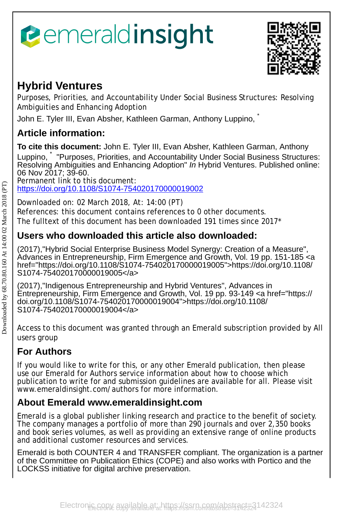# *<u><b>e*emeraldinsight</u>



# **Hybrid Ventures**

Purposes, Priorities, and Accountability Under Social Business Structures: Resolving Ambiguities and Enhancing Adoption

John E. Tyler III, Evan Absher, Kathleen Garman, Anthony Luppino,

# **Article information:**

**To cite this document:** John E. Tyler III, Evan Absher, Kathleen Garman, Anthony Luppino, \* "Purposes, Priorities, and Accountability Under Social Business Structures: Resolving Ambiguities and Enhancing Adoption" *In* Hybrid Ventures. Published online: 06 Nov 2017; 39-60. Permanent link to this document:

<https://doi.org/10.1108/S1074-754020170000019002>

Downloaded on: 02 March 2018, At: 14:00 (PT) References: this document contains references to 0 other documents. The fulltext of this document has been downloaded 191 times since 2017\*

# **Users who downloaded this article also downloaded:**

(2017),"Hybrid Social Enterprise Business Model Synergy: Creation of a Measure", Advances in Entrepreneurship, Firm Emergence and Growth, Vol. 19 pp. 151-185 <a href="https://doi.org/10.1108/S1074-754020170000019005">https://doi.org/10.1108/ S1074-754020170000019005</a>

(2017),"Indigenous Entrepreneurship and Hybrid Ventures", Advances in Entrepreneurship, Firm Emergence and Growth, Vol. 19 pp. 93-149 <a href="https:// doi.org/10.1108/S1074-754020170000019004">https://doi.org/10.1108/ S1074-754020170000019004</a>

Access to this document was granted through an Emerald subscription provided by All users group

# **For Authors**

If you would like to write for this, or any other Emerald publication, then please use our Emerald for Authors service information about how to choose which publication to write for and submission guidelines are available for all. Please visit www.emeraldinsight.com/authors for more information.

# **About Emerald www.emeraldinsight.com**

Emerald is a global publisher linking research and practice to the benefit of society. The company manages a portfolio of more than 290 journals and over 2,350 books and book series volumes, as well as providing an extensive range of online products and additional customer resources and services.

Emerald is both COUNTER 4 and TRANSFER compliant. The organization is a partner of the Committee on Publication Ethics (COPE) and also works with Portico and the LOCKSS initiative for digital archive preservation.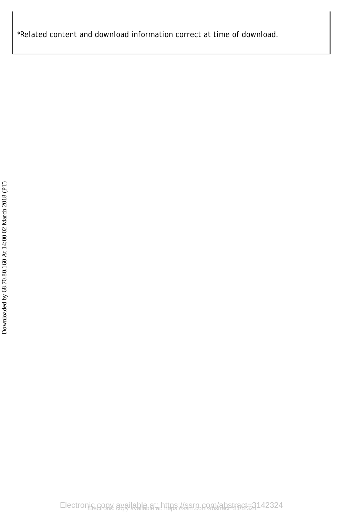\*Related content and download information correct at time of download.

Electron<sub>tfe</sub>copy availabla at: https://ssrn.com/abstract<sub>32</sub>3142324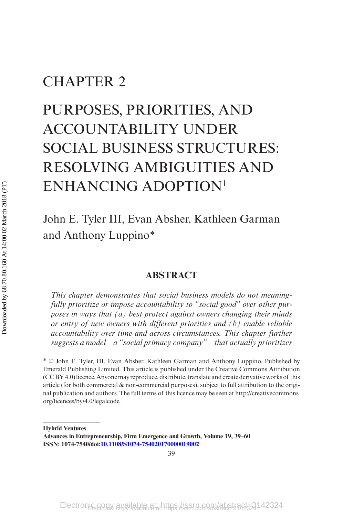# CHAPTER 2

# Purposes, Priorities, and Accountability Under Social Business Structures: Resolving Ambiguities and ENHANCING ADOPTION<sup>1</sup>

John E. Tyler III, Evan Absher, Kathleen Garman and Anthony Luppino\*

### **ABSTRACT**

*This chapter demonstrates that social business models do not meaningfully prioritize or impose accountability to "social good" over other purposes in ways that (a) best protect against owners changing their minds or entry of new owners with different priorities and (b) enable reliable accountability over time and across circumstances. This chapter further suggests a model – a "social primacy company" – that actually prioritizes* 

\* © John E. Tyler, III, Evan Absher, Kathleen Garman and Anthony Luppino. Published by Emerald Publishing Limited. This article is published under the Creative Commons Attribution (CC BY 4.0) licence. Anyone may reproduce, distribute, translate and create derivative works of this article (for both commercial  $\&$  non-commercial purposes), subject to full attribution to the original publication and authors. The full terms of this licence may be seen at http://creativecommons. org/licences/by/4.0/legalcode.

**Hybrid Ventures**

**Advances in Entrepreneurship, Firm Emergence and Growth, Volume 19, 39–60 ISSN: 1074-7540/doi[:10.1108/S1074-754020170000019002](http://dxi.doi.org/10.1108/S1074-754020170000019002)**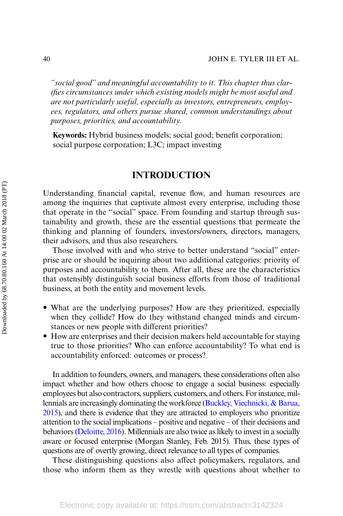*"social good" and meaningful accountability to it. This chapter thus clarifies circumstances under which existing models might be most useful and are not particularly useful, especially as investors, entrepreneurs, employees, regulators, and others pursue shared, common understandings about purposes, priorities, and accountability.*

**Keywords:** Hybrid business models; social good; benefit corporation; social purpose corporation; L3C; impact investing

### **Introduction**

Understanding financial capital, revenue flow, and human resources are among the inquiries that captivate almost every enterprise, including those that operate in the "social" space. From founding and startup through sustainability and growth, these are the essential questions that permeate the thinking and planning of founders, investors/owners, directors, managers, their advisors, and thus also researchers.

Those involved with and who strive to better understand "social" enterprise are or should be inquiring about two additional categories: priority of purposes and accountability to them. After all, these are the characteristics that ostensibly distinguish social business efforts from those of traditional business, at both the entity and movement levels.

- What are the underlying purposes? How are they prioritized, especially when they collide? How do they withstand changed minds and circumstances or new people with different priorities?
- How are enterprises and their decision makers held accountable for staying true to those priorities? Who can enforce accountability? To what end is accountability enforced: outcomes or process?

In addition to founders, owners, and managers, these considerations often also impact whether and how others choose to engage a social business: especially employees but also contractors, suppliers, customers, and others. For instance, millennials are increasingly dominating the workforce ([Buckley, Viechnicki, & Barua,](#page-23-1) [2015\)](#page-23-1), and there is evidence that they are attracted to employers who prioritize attention to the social implications – positive and negative – of their decisions and behaviors [\(Deloitte, 2016\)](#page-23-2). Millennials are also twice as likely to invest in a socially aware or focused enterprise (Morgan Stanley, Feb. 2015). Thus, these types of questions are of overtly growing, direct relevance to all types of companies.

These distinguishing questions also affect policymakers, regulators, and those who inform them as they wrestle with questions about whether to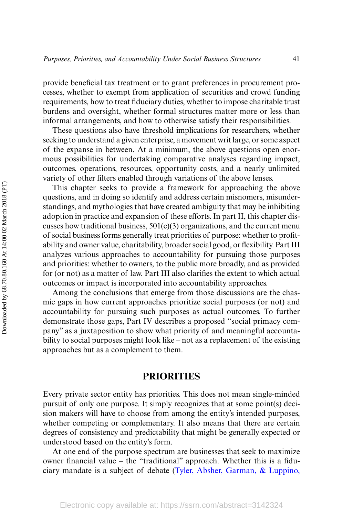provide beneficial tax treatment or to grant preferences in procurement processes, whether to exempt from application of securities and crowd funding requirements, how to treat fiduciary duties, whether to impose charitable trust burdens and oversight, whether formal structures matter more or less than informal arrangements, and how to otherwise satisfy their responsibilities.

These questions also have threshold implications for researchers, whether seeking to understand a given enterprise, a movement writ large, or some aspect of the expanse in between. At a minimum, the above questions open enormous possibilities for undertaking comparative analyses regarding impact, outcomes, operations, resources, opportunity costs, and a nearly unlimited variety of other filters enabled through variations of the above lenses.

This chapter seeks to provide a framework for approaching the above questions, and in doing so identify and address certain misnomers, misunderstandings, and mythologies that have created ambiguity that may be inhibiting adoption in practice and expansion of these efforts. In part II, this chapter discusses how traditional business,  $501(c)(3)$  organizations, and the current menu of social business forms generally treat priorities of purpose: whether to profitability and owner value, charitability, broader social good, or flexibility. Part III analyzes various approaches to accountability for pursuing those purposes and priorities: whether to owners, to the public more broadly, and as provided for (or not) as a matter of law. Part III also clarifies the extent to which actual outcomes or impact is incorporated into accountability approaches.

Among the conclusions that emerge from those discussions are the chasmic gaps in how current approaches prioritize social purposes (or not) and accountability for pursuing such purposes as actual outcomes. To further demonstrate those gaps, Part IV describes a proposed "social primacy company" as a juxtaposition to show what priority of and meaningful accountability to social purposes might look like – not as a replacement of the existing approaches but as a complement to them.

### **Priorities**

Every private sector entity has priorities. This does not mean single-minded pursuit of only one purpose. It simply recognizes that at some point(s) decision makers will have to choose from among the entity's intended purposes, whether competing or complementary. It also means that there are certain degrees of consistency and predictability that might be generally expected or understood based on the entity's form.

At one end of the purpose spectrum are businesses that seek to maximize owner financial value – the "traditional" approach. Whether this is a fiduciary mandate is a subject of debate ([Tyler, Absher, Garman, & Luppino,](#page-24-0)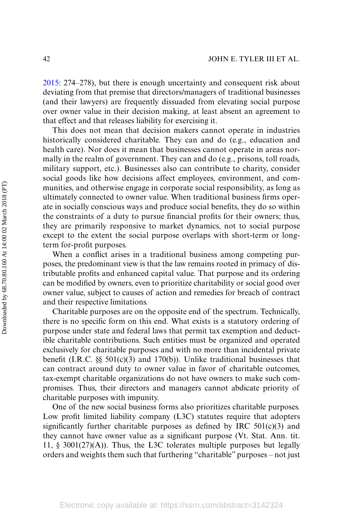[2015:](#page-24-0) 274–278), but there is enough uncertainty and consequent risk about deviating from that premise that directors/managers of traditional businesses (and their lawyers) are frequently dissuaded from elevating social purpose over owner value in their decision making, at least absent an agreement to that effect and that releases liability for exercising it.

This does not mean that decision makers cannot operate in industries historically considered charitable. They can and do (e.g., education and health care). Nor does it mean that businesses cannot operate in areas normally in the realm of government. They can and do (e.g., prisons, toll roads, military support, etc.). Businesses also can contribute to charity, consider social goods like how decisions affect employees, environment, and communities, and otherwise engage in corporate social responsibility, as long as ultimately connected to owner value. When traditional business firms operate in socially conscious ways and produce social benefits, they do so within the constraints of a duty to pursue financial profits for their owners; thus, they are primarily responsive to market dynamics, not to social purpose except to the extent the social purpose overlaps with short-term or longterm for-profit purposes.

When a conflict arises in a traditional business among competing purposes, the predominant view is that the law remains rooted in primacy of distributable profits and enhanced capital value. That purpose and its ordering can be modified by owners, even to prioritize charitability or social good over owner value, subject to causes of action and remedies for breach of contract and their respective limitations.

Charitable purposes are on the opposite end of the spectrum. Technically, there is no specific form on this end. What exists is a statutory ordering of purpose under state and federal laws that permit tax exemption and deductible charitable contributions. Such entities must be organized and operated exclusively for charitable purposes and with no more than incidental private benefit (I.R.C.  $\S$  501(c)(3) and 170(b)). Unlike traditional businesses that can contract around duty to owner value in favor of charitable outcomes, tax-exempt charitable organizations do not have owners to make such compromises. Thus, their directors and managers cannot abdicate priority of charitable purposes with impunity.

One of the new social business forms also prioritizes charitable purposes. Low profit limited liability company (L3C) statutes require that adopters significantly further charitable purposes as defined by IRC  $501(c)(3)$  and they cannot have owner value as a significant purpose (Vt. Stat. Ann. tit. 11,  $\S$  3001(27)(A)). Thus, the L3C tolerates multiple purposes but legally orders and weights them such that furthering "charitable" purposes – not just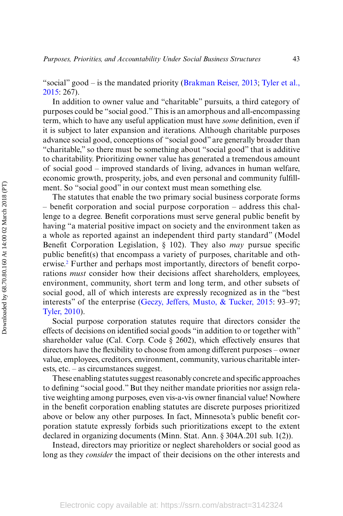"social" good – is the mandated priority [\(Brakman Reiser, 2013;](#page-23-3) [Tyler et al.,](#page-24-0) [2015:](#page-24-0) 267).

In addition to owner value and "charitable" pursuits, a third category of purposes could be "social good." This is an amorphous and all-encompassing term, which to have any useful application must have *some* definition, even if it is subject to later expansion and iterations. Although charitable purposes advance social good, conceptions of "social good" are generally broader than "charitable," so there must be something about "social good" that is additive to charitability. Prioritizing owner value has generated a tremendous amount of social good – improved standards of living, advances in human welfare, economic growth, prosperity, jobs, and even personal and community fulfillment. So "social good" in our context must mean something else.

The statutes that enable the two primary social business corporate forms – benefit corporation and social purpose corporation – address this challenge to a degree. Benefit corporations must serve general public benefit by having "a material positive impact on society and the environment taken as a whole as reported against an independent third party standard" (Model Benefit Corporation Legislation, § 102). They also *may* pursue specific public benefit(s) that encompass a variety of purposes, charitable and oth-erwise.<sup>[2](#page-23-4)</sup> Further and perhaps most importantly, directors of benefit corporations *must* consider how their decisions affect shareholders, employees, environment, community, short term and long term, and other subsets of social good, all of which interests are expressly recognized as in the "best interests" of the enterprise ([Geczy, Jeffers, Musto, & Tucker, 2015:](#page-24-1) 93–97; [Tyler, 2010\)](#page-24-2).

Social purpose corporation statutes require that directors consider the effects of decisions on identified social goods "in addition to or together with" shareholder value (Cal. Corp. Code  $\S$  2602), which effectively ensures that directors have the flexibility to choose from among different purposes – owner value, employees, creditors, environment, community, various charitable interests, etc. – as circumstances suggest.

These enabling statutes suggest reasonably concrete and specific approaches to defining "social good." But they neither mandate priorities nor assign relative weighting among purposes, even vis-a-vis owner financial value! Nowhere in the benefit corporation enabling statutes are discrete purposes prioritized above or below any other purposes. In fact, Minnesota's public benefit corporation statute expressly forbids such prioritizations except to the extent declared in organizing documents (Minn. Stat. Ann. § 304A.201 sub. 1(2)).

Instead, directors may prioritize or neglect shareholders or social good as long as they *consider* the impact of their decisions on the other interests and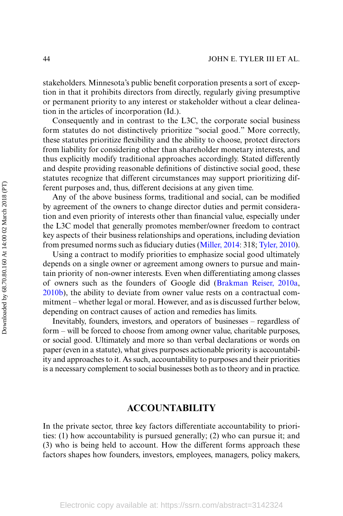stakeholders. Minnesota's public benefit corporation presents a sort of exception in that it prohibits directors from directly, regularly giving presumptive or permanent priority to any interest or stakeholder without a clear delineation in the articles of incorporation (Id.).

Consequently and in contrast to the L3C, the corporate social business form statutes do not distinctively prioritize "social good." More correctly, these statutes prioritize flexibility and the ability to choose, protect directors from liability for considering other than shareholder monetary interests, and thus explicitly modify traditional approaches accordingly. Stated differently and despite providing reasonable definitions of distinctive social good, these statutes recognize that different circumstances may support prioritizing different purposes and, thus, different decisions at any given time.

Any of the above business forms, traditional and social, can be modified by agreement of the owners to change director duties and permit consideration and even priority of interests other than financial value, especially under the L3C model that generally promotes member/owner freedom to contract key aspects of their business relationships and operations, including deviation from presumed norms such as fiduciary duties [\(Miller, 2014:](#page-24-3) 318; [Tyler, 2010\)](#page-24-2).

Using a contract to modify priorities to emphasize social good ultimately depends on a single owner or agreement among owners to pursue and maintain priority of non-owner interests. Even when differentiating among classes of owners such as the founders of Google did [\(Brakman Reiser, 2010a](#page-23-5), [2010b](#page-23-6)), the ability to deviate from owner value rests on a contractual commitment – whether legal or moral. However, and as is discussed further below, depending on contract causes of action and remedies has limits.

Inevitably, founders, investors, and operators of businesses – regardless of form – will be forced to choose from among owner value, charitable purposes, or social good. Ultimately and more so than verbal declarations or words on paper (even in a statute), what gives purposes actionable priority is accountability and approaches to it. As such, accountability to purposes and their priorities is a necessary complement to social businesses both as to theory and in practice.

### **Accountability**

In the private sector, three key factors differentiate accountability to priorities: (1) how accountability is pursued generally; (2) who can pursue it; and (3) who is being held to account. How the different forms approach these factors shapes how founders, investors, employees, managers, policy makers,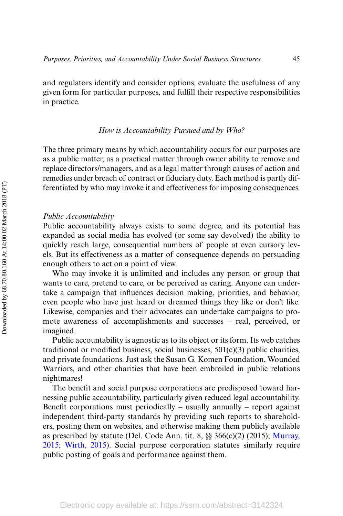and regulators identify and consider options, evaluate the usefulness of any given form for particular purposes, and fulfill their respective responsibilities in practice.

#### *How is Accountability Pursued and by Who?*

The three primary means by which accountability occurs for our purposes are as a public matter, as a practical matter through owner ability to remove and replace directors/managers, and as a legal matter through causes of action and remedies under breach of contract or fiduciary duty. Each method is partly differentiated by who may invoke it and effectiveness for imposing consequences.

#### *Public Accountability*

Public accountability always exists to some degree, and its potential has expanded as social media has evolved (or some say devolved) the ability to quickly reach large, consequential numbers of people at even cursory levels. But its effectiveness as a matter of consequence depends on persuading enough others to act on a point of view.

Who may invoke it is unlimited and includes any person or group that wants to care, pretend to care, or be perceived as caring. Anyone can undertake a campaign that influences decision making, priorities, and behavior, even people who have just heard or dreamed things they like or don't like. Likewise, companies and their advocates can undertake campaigns to promote awareness of accomplishments and successes – real, perceived, or imagined.

Public accountability is agnostic as to its object or its form. Its web catches traditional or modified business, social businesses,  $501(c)(3)$  public charities, and private foundations. Just ask the Susan G. Komen Foundation, Wounded Warriors, and other charities that have been embroiled in public relations nightmares!

The benefit and social purpose corporations are predisposed toward harnessing public accountability, particularly given reduced legal accountability. Benefit corporations must periodically – usually annually – report against independent third-party standards by providing such reports to shareholders, posting them on websites, and otherwise making them publicly available as prescribed by statute (Del. Code Ann. tit. 8,  $\S$  366(c)(2) (2015); Murray, [2015;](#page-24-4) [Wirth, 2015\)](#page-24-5). Social purpose corporation statutes similarly require public posting of goals and performance against them.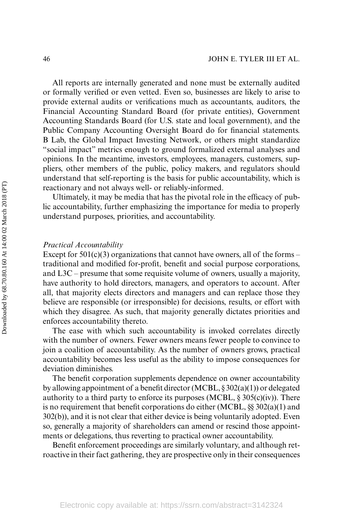All reports are internally generated and none must be externally audited or formally verified or even vetted. Even so, businesses are likely to arise to provide external audits or verifications much as accountants, auditors, the Financial Accounting Standard Board (for private entities), Government Accounting Standards Board (for U.S. state and local government), and the Public Company Accounting Oversight Board do for financial statements. B Lab, the Global Impact Investing Network, or others might standardize "social impact" metrics enough to ground formalized external analyses and opinions. In the meantime, investors, employees, managers, customers, suppliers, other members of the public, policy makers, and regulators should understand that self-reporting is the basis for public accountability, which is reactionary and not always well- or reliably-informed.

Ultimately, it may be media that has the pivotal role in the efficacy of public accountability, further emphasizing the importance for media to properly understand purposes, priorities, and accountability.

#### *Practical Accountability*

Except for  $501(c)(3)$  organizations that cannot have owners, all of the forms – traditional and modified for-profit, benefit and social purpose corporations, and L3C – presume that some requisite volume of owners, usually a majority, have authority to hold directors, managers, and operators to account. After all, that majority elects directors and managers and can replace those they believe are responsible (or irresponsible) for decisions, results, or effort with which they disagree. As such, that majority generally dictates priorities and enforces accountability thereto.

The ease with which such accountability is invoked correlates directly with the number of owners. Fewer owners means fewer people to convince to join a coalition of accountability. As the number of owners grows, practical accountability becomes less useful as the ability to impose consequences for deviation diminishes.

The benefit corporation supplements dependence on owner accountability by allowing appointment of a benefit director (MCBL, § 302(a)(1)) or delegated authority to a third party to enforce its purposes (MCBL,  $\S 305(c)(iv)$ ). There is no requirement that benefit corporations do either (MCBL, §§ 302(a)(1) and 302(b)), and it is not clear that either device is being voluntarily adopted. Even so, generally a majority of shareholders can amend or rescind those appointments or delegations, thus reverting to practical owner accountability.

Benefit enforcement proceedings are similarly voluntary, and although retroactive in their fact gathering, they are prospective only in their consequences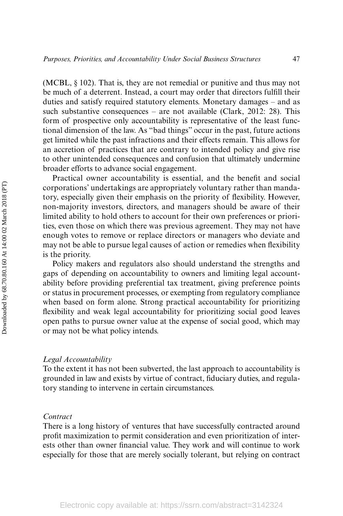(MCBL, § 102). That is, they are not remedial or punitive and thus may not be much of a deterrent. Instead, a court may order that directors fulfill their duties and satisfy required statutory elements. Monetary damages – and as such substantive consequences – are not available (Clark, 2012: 28). This form of prospective only accountability is representative of the least functional dimension of the law. As "bad things" occur in the past, future actions get limited while the past infractions and their effects remain. This allows for an accretion of practices that are contrary to intended policy and give rise to other unintended consequences and confusion that ultimately undermine broader efforts to advance social engagement.

Practical owner accountability is essential, and the benefit and social corporations' undertakings are appropriately voluntary rather than mandatory, especially given their emphasis on the priority of flexibility. However, non-majority investors, directors, and managers should be aware of their limited ability to hold others to account for their own preferences or priorities, even those on which there was previous agreement. They may not have enough votes to remove or replace directors or managers who deviate and may not be able to pursue legal causes of action or remedies when flexibility is the priority.

Policy makers and regulators also should understand the strengths and gaps of depending on accountability to owners and limiting legal accountability before providing preferential tax treatment, giving preference points or status in procurement processes, or exempting from regulatory compliance when based on form alone. Strong practical accountability for prioritizing flexibility and weak legal accountability for prioritizing social good leaves open paths to pursue owner value at the expense of social good, which may or may not be what policy intends.

#### *Legal Accountability*

To the extent it has not been subverted, the last approach to accountability is grounded in law and exists by virtue of contract, fiduciary duties, and regulatory standing to intervene in certain circumstances.

#### *Contract*

There is a long history of ventures that have successfully contracted around profit maximization to permit consideration and even prioritization of interests other than owner financial value. They work and will continue to work especially for those that are merely socially tolerant, but relying on contract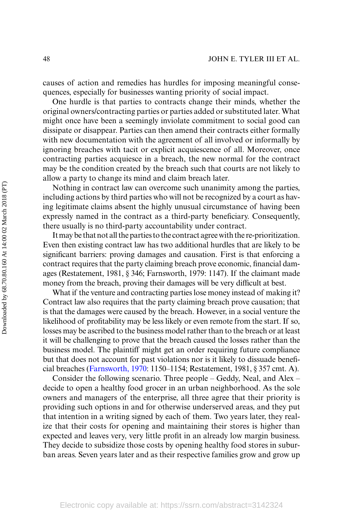causes of action and remedies has hurdles for imposing meaningful consequences, especially for businesses wanting priority of social impact.

One hurdle is that parties to contracts change their minds, whether the original owners/contracting parties or parties added or substituted later. What might once have been a seemingly inviolate commitment to social good can dissipate or disappear. Parties can then amend their contracts either formally with new documentation with the agreement of all involved or informally by ignoring breaches with tacit or explicit acquiescence of all. Moreover, once contracting parties acquiesce in a breach, the new normal for the contract may be the condition created by the breach such that courts are not likely to allow a party to change its mind and claim breach later.

Nothing in contract law can overcome such unanimity among the parties, including actions by third parties who will not be recognized by a court as having legitimate claims absent the highly unusual circumstance of having been expressly named in the contract as a third-party beneficiary. Consequently, there usually is no third-party accountability under contract.

It may be that not all the parties to the contract agree with the re-prioritization. Even then existing contract law has two additional hurdles that are likely to be significant barriers: proving damages and causation. First is that enforcing a contract requires that the party claiming breach prove economic, financial damages (Restatement, 1981, § 346; Farnsworth, 1979: 1147). If the claimant made money from the breach, proving their damages will be very difficult at best.

What if the venture and contracting parties lose money instead of making it? Contract law also requires that the party claiming breach prove causation; that is that the damages were caused by the breach. However, in a social venture the likelihood of profitability may be less likely or even remote from the start. If so, losses may be ascribed to the business model rather than to the breach or at least it will be challenging to prove that the breach caused the losses rather than the business model. The plaintiff might get an order requiring future compliance but that does not account for past violations nor is it likely to dissuade beneficial breaches [\(Farnsworth, 1970](#page-24-6): 1150–1154; Restatement, 1981, § 357 cmt. A).

Consider the following scenario. Three people – Geddy, Neal, and Alex – decide to open a healthy food grocer in an urban neighborhood. As the sole owners and managers of the enterprise, all three agree that their priority is providing such options in and for otherwise underserved areas, and they put that intention in a writing signed by each of them. Two years later, they realize that their costs for opening and maintaining their stores is higher than expected and leaves very, very little profit in an already low margin business. They decide to subsidize those costs by opening healthy food stores in suburban areas. Seven years later and as their respective families grow and grow up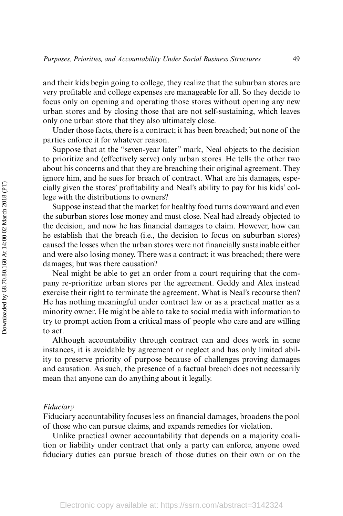and their kids begin going to college, they realize that the suburban stores are very profitable and college expenses are manageable for all. So they decide to focus only on opening and operating those stores without opening any new urban stores and by closing those that are not self-sustaining, which leaves only one urban store that they also ultimately close.

Under those facts, there is a contract; it has been breached; but none of the parties enforce it for whatever reason.

Suppose that at the "seven-year later" mark, Neal objects to the decision to prioritize and (effectively serve) only urban stores. He tells the other two about his concerns and that they are breaching their original agreement. They ignore him, and he sues for breach of contract. What are his damages, especially given the stores' profitability and Neal's ability to pay for his kids' college with the distributions to owners?

Suppose instead that the market for healthy food turns downward and even the suburban stores lose money and must close. Neal had already objected to the decision, and now he has financial damages to claim. However, how can he establish that the breach (i.e., the decision to focus on suburban stores) caused the losses when the urban stores were not financially sustainable either and were also losing money. There was a contract; it was breached; there were damages; but was there causation?

Neal might be able to get an order from a court requiring that the company re-prioritize urban stores per the agreement. Geddy and Alex instead exercise their right to terminate the agreement. What is Neal's recourse then? He has nothing meaningful under contract law or as a practical matter as a minority owner. He might be able to take to social media with information to try to prompt action from a critical mass of people who care and are willing to act.

Although accountability through contract can and does work in some instances, it is avoidable by agreement or neglect and has only limited ability to preserve priority of purpose because of challenges proving damages and causation. As such, the presence of a factual breach does not necessarily mean that anyone can do anything about it legally.

#### *Fiduciary*

Fiduciary accountability focuses less on financial damages, broadens the pool of those who can pursue claims, and expands remedies for violation.

Unlike practical owner accountability that depends on a majority coalition or liability under contract that only a party can enforce, anyone owed fiduciary duties can pursue breach of those duties on their own or on the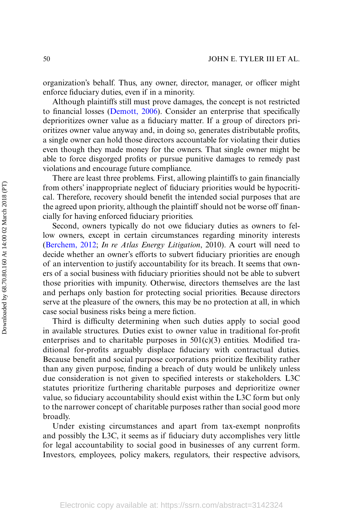organization's behalf. Thus, any owner, director, manager, or officer might enforce fiduciary duties, even if in a minority.

Although plaintiffs still must prove damages, the concept is not restricted to financial losses [\(Demott, 2006\)](#page-23-7). Consider an enterprise that specifically deprioritizes owner value as a fiduciary matter. If a group of directors prioritizes owner value anyway and, in doing so, generates distributable profits, a single owner can hold those directors accountable for violating their duties even though they made money for the owners. That single owner might be able to force disgorged profits or pursue punitive damages to remedy past violations and encourage future compliance.

There are least three problems. First, allowing plaintiffs to gain financially from others' inappropriate neglect of fiduciary priorities would be hypocritical. Therefore, recovery should benefit the intended social purposes that are the agreed upon priority, although the plaintiff should not be worse off financially for having enforced fiduciary priorities.

Second, owners typically do not owe fiduciary duties as owners to fellow owners, except in certain circumstances regarding minority interests [\(Berchem, 2012;](#page-23-8) *In re Atlas Energy Litigation*, 2010). A court will need to decide whether an owner's efforts to subvert fiduciary priorities are enough of an intervention to justify accountability for its breach. It seems that owners of a social business with fiduciary priorities should not be able to subvert those priorities with impunity. Otherwise, directors themselves are the last and perhaps only bastion for protecting social priorities. Because directors serve at the pleasure of the owners, this may be no protection at all, in which case social business risks being a mere fiction.

Third is difficulty determining when such duties apply to social good in available structures. Duties exist to owner value in traditional for-profit enterprises and to charitable purposes in  $501(c)(3)$  entities. Modified traditional for-profits arguably displace fiduciary with contractual duties. Because benefit and social purpose corporations prioritize flexibility rather than any given purpose, finding a breach of duty would be unlikely unless due consideration is not given to specified interests or stakeholders. L3C statutes prioritize furthering charitable purposes and deprioritize owner value, so fiduciary accountability should exist within the L3C form but only to the narrower concept of charitable purposes rather than social good more broadly.

Under existing circumstances and apart from tax-exempt nonprofits and possibly the L3C, it seems as if fiduciary duty accomplishes very little for legal accountability to social good in businesses of any current form. Investors, employees, policy makers, regulators, their respective advisors,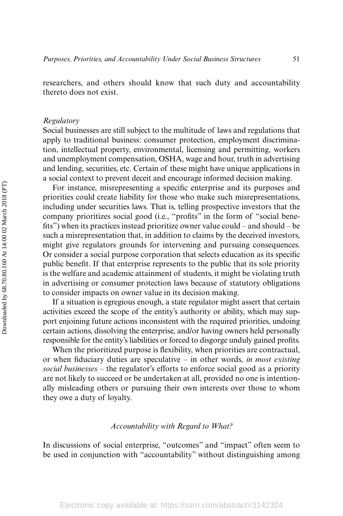researchers, and others should know that such duty and accountability thereto does not exist.

#### *Regulatory*

Social businesses are still subject to the multitude of laws and regulations that apply to traditional business: consumer protection, employment discrimination, intellectual property, environmental, licensing and permitting, workers and unemployment compensation, OSHA, wage and hour, truth in advertising and lending, securities, etc. Certain of these might have unique applications in a social context to prevent deceit and encourage informed decision making.

For instance, misrepresenting a specific enterprise and its purposes and priorities could create liability for those who make such misrepresentations, including under securities laws. That is, telling prospective investors that the company prioritizes social good (i.e., "profits" in the form of "social benefits") when its practices instead prioritize owner value could – and should – be such a misrepresentation that, in addition to claims by the deceived investors, might give regulators grounds for intervening and pursuing consequences. Or consider a social purpose corporation that selects education as its specific public benefit. If that enterprise represents to the public that its sole priority is the welfare and academic attainment of students, it might be violating truth in advertising or consumer protection laws because of statutory obligations to consider impacts on owner value in its decision making.

If a situation is egregious enough, a state regulator might assert that certain activities exceed the scope of the entity's authority or ability, which may support enjoining future actions inconsistent with the required priorities, undoing certain actions, dissolving the enterprise, and/or having owners held personally responsible for the entity's liabilities or forced to disgorge unduly gained profits.

When the prioritized purpose is flexibility, when priorities are contractual, or when fiduciary duties are speculative – in other words, *in most existing social businesses* – the regulator's efforts to enforce social good as a priority are not likely to succeed or be undertaken at all, provided no one is intentionally misleading others or pursuing their own interests over those to whom they owe a duty of loyalty.

#### *Accountability with Regard to What?*

In discussions of social enterprise, "outcomes" and "impact" often seem to be used in conjunction with "accountability" without distinguishing among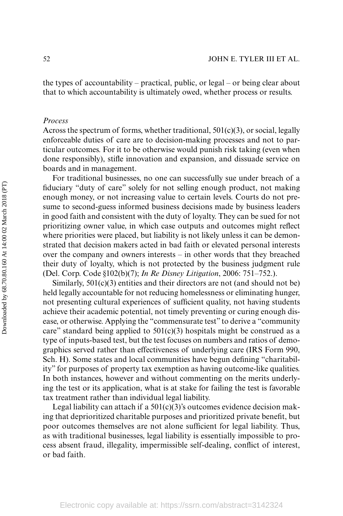the types of accountability – practical, public, or legal – or being clear about that to which accountability is ultimately owed, whether process or results.

#### *Process*

Across the spectrum of forms, whether traditional,  $501(c)(3)$ , or social, legally enforceable duties of care are to decision-making processes and not to particular outcomes. For it to be otherwise would punish risk taking (even when done responsibly), stifle innovation and expansion, and dissuade service on boards and in management.

For traditional businesses, no one can successfully sue under breach of a fiduciary "duty of care" solely for not selling enough product, not making enough money, or not increasing value to certain levels. Courts do not presume to second-guess informed business decisions made by business leaders in good faith and consistent with the duty of loyalty. They can be sued for not prioritizing owner value, in which case outputs and outcomes might reflect where priorities were placed, but liability is not likely unless it can be demonstrated that decision makers acted in bad faith or elevated personal interests over the company and owners interests – in other words that they breached their duty of loyalty, which is not protected by the business judgment rule (Del. Corp. Code §102(b)(7); *In Re Disney Litigation*, 2006: 751–752.).

Similarly,  $501(c)(3)$  entities and their directors are not (and should not be) held legally accountable for not reducing homelessness or eliminating hunger, not presenting cultural experiences of sufficient quality, not having students achieve their academic potential, not timely preventing or curing enough disease, or otherwise. Applying the "commensurate test" to derive a "community care" standard being applied to  $501(c)(3)$  hospitals might be construed as a type of inputs-based test, but the test focuses on numbers and ratios of demographics served rather than effectiveness of underlying care (IRS Form 990, Sch. H). Some states and local communities have begun defining "charitability" for purposes of property tax exemption as having outcome-like qualities. In both instances, however and without commenting on the merits underlying the test or its application, what is at stake for failing the test is favorable tax treatment rather than individual legal liability.

Legal liability can attach if a  $501(c)(3)$ 's outcomes evidence decision making that deprioritized charitable purposes and prioritized private benefit, but poor outcomes themselves are not alone sufficient for legal liability. Thus, as with traditional businesses, legal liability is essentially impossible to process absent fraud, illegality, impermissible self-dealing, conflict of interest, or bad faith.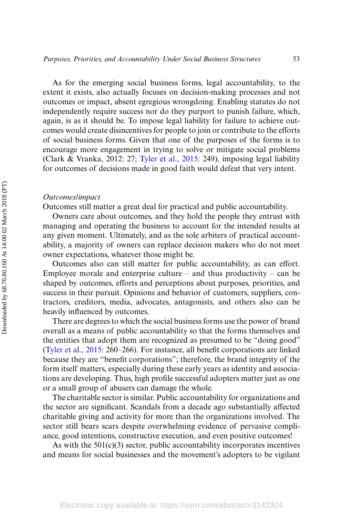As for the emerging social business forms, legal accountability, to the extent it exists, also actually focuses on decision-making processes and not outcomes or impact, absent egregious wrongdoing. Enabling statutes do not independently require success nor do they purport to punish failure, which, again, is as it should be. To impose legal liability for failure to achieve outcomes would create disincentives for people to join or contribute to the efforts of social business forms. Given that one of the purposes of the forms is to encourage more engagement in trying to solve or mitigate social problems (Clark & Vranka, 2012: 27; [Tyler et al., 2015:](#page-24-0) 249), imposing legal liability for outcomes of decisions made in good faith would defeat that very intent.

#### *Outcomes/impact*

Outcomes still matter a great deal for practical and public accountability.

Owners care about outcomes, and they hold the people they entrust with managing and operating the business to account for the intended results at any given moment. Ultimately, and as the sole arbiters of practical accountability, a majority of owners can replace decision makers who do not meet owner expectations, whatever those might be.

Outcomes also can still matter for public accountability, as can effort. Employee morale and enterprise culture – and thus productivity – can be shaped by outcomes, efforts and perceptions about purposes, priorities, and success in their pursuit. Opinions and behavior of customers, suppliers, contractors, creditors, media, advocates, antagonists, and others also can be heavily influenced by outcomes.

There are degrees to which the social business forms use the power of brand overall as a means of public accountability so that the forms themselves and the entities that adopt them are recognized as presumed to be "doing good" [\(Tyler et al., 2015:](#page-24-0) 260–266). For instance, all benefit corporations are linked because they are "benefit corporations"; therefore, the brand integrity of the form itself matters, especially during these early years as identity and associations are developing. Thus, high profile successful adopters matter just as one or a small group of abusers can damage the whole.

The charitable sector is similar. Public accountability for organizations and the sector are significant. Scandals from a decade ago substantially affected charitable giving and activity for more than the organizations involved. The sector still bears scars despite overwhelming evidence of pervasive compliance, good intentions, constructive execution, and even positive outcomes!

As with the  $501(c)(3)$  sector, public accountability incorporates incentives and means for social businesses and the movement's adopters to be vigilant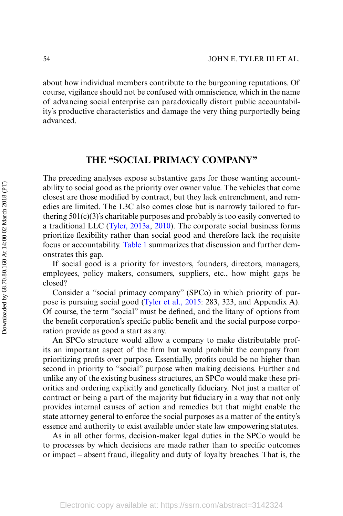about how individual members contribute to the burgeoning reputations. Of course, vigilance should not be confused with omniscience, which in the name of advancing social enterprise can paradoxically distort public accountability's productive characteristics and damage the very thing purportedly being advanced.

# **The "Social Primacy Company"**

The preceding analyses expose substantive gaps for those wanting accountability to social good as the priority over owner value. The vehicles that come closest are those modified by contract, but they lack entrenchment, and remedies are limited. The L3C also comes close but is narrowly tailored to furthering 501(c)(3)'s charitable purposes and probably is too easily converted to a traditional LLC ([Tyler, 2013a,](#page-24-7) [2010](#page-24-2)). The corporate social business forms prioritize flexibility rather than social good and therefore lack the requisite focus or accountability. [Table 1](#page-19-0) summarizes that discussion and further demonstrates this gap.

If social good is a priority for investors, founders, directors, managers, employees, policy makers, consumers, suppliers, etc., how might gaps be closed?

Consider a "social primacy company" (SPCo) in which priority of purpose is pursuing social good [\(Tyler et al., 2015:](#page-24-0) 283, 323, and Appendix A). Of course, the term "social" must be defined, and the litany of options from the benefit corporation's specific public benefit and the social purpose corporation provide as good a start as any.

An SPCo structure would allow a company to make distributable profits an important aspect of the firm but would prohibit the company from prioritizing profits over purpose. Essentially, profits could be no higher than second in priority to "social" purpose when making decisions. Further and unlike any of the existing business structures, an SPCo would make these priorities and ordering explicitly and genetically fiduciary. Not just a matter of contract or being a part of the majority but fiduciary in a way that not only provides internal causes of action and remedies but that might enable the state attorney general to enforce the social purposes as a matter of the entity's essence and authority to exist available under state law empowering statutes.

As in all other forms, decision-maker legal duties in the SPCo would be to processes by which decisions are made rather than to specific outcomes or impact – absent fraud, illegality and duty of loyalty breaches. That is, the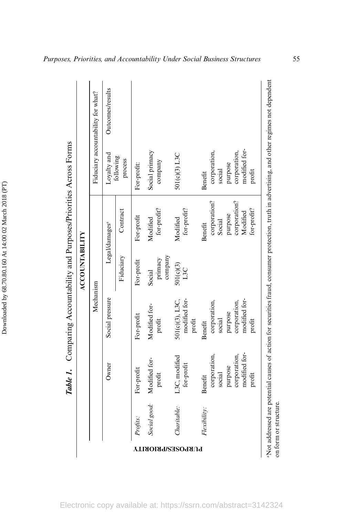| and the contract contract in the contract of the contract of the contract of the contract of the contract of the contract of the contract of the contract of the contract of the contract of the contract of the contract of t<br>unni 1. | ACCOUNTABILITY | Fiduciary accountability for what? | <b>Outcomes/results</b>             |           |             |                              |                                            |                |                        |         |              |               |             |
|-------------------------------------------------------------------------------------------------------------------------------------------------------------------------------------------------------------------------------------------|----------------|------------------------------------|-------------------------------------|-----------|-------------|------------------------------|--------------------------------------------|----------------|------------------------|---------|--------------|---------------|-------------|
|                                                                                                                                                                                                                                           |                |                                    | Loyalty and<br>following<br>process |           | For-profit: | Social primacy<br>company    | 501(c)(3) L3C                              | <b>Benefit</b> | corporation,<br>social | purpose | corporation, | modified for- | profit      |
|                                                                                                                                                                                                                                           |                | Mechanism                          | Legal/damages <sup>a</sup>          | Contract  | For-profit  | for-profit?<br>Modified      | for-profit?<br>Modified                    | <b>Benefit</b> | corporation?<br>Social | purpose | corporation? | Modified      | for-profit? |
|                                                                                                                                                                                                                                           |                |                                    |                                     | Fiduciary | For-profit  | company<br>primacy<br>Social | 501(c)(3)<br>L3C                           |                |                        |         |              |               |             |
|                                                                                                                                                                                                                                           |                |                                    | Social pressure                     |           | For-profit  | Modified for-<br>profit      | modified for-<br>501(c)(3), L3C,<br>profit | <b>Benefit</b> | corporation,<br>social | purpose | corporation, | modified for- | profit      |
|                                                                                                                                                                                                                                           |                |                                    | Owner                               |           | For-profit  | Modified for-<br>profit      | L3C, modified<br>for-profit                | <b>Benefit</b> | corporation,<br>social | purpose | corporation, | modified for- | profit      |
|                                                                                                                                                                                                                                           |                |                                    |                                     |           | Profits:    | Social good:                 | Charitable:                                | Flexibility:   |                        |         |              |               |             |
| AN BDOSE2\                                                                                                                                                                                                                                |                |                                    |                                     |           |             |                              |                                            |                |                        |         |              |               |             |

<span id="page-19-0"></span>Comparing Accountability and Purposes/Priorities Across Forms Across Forms Priorities Accountability and *Table 1.* Comparing Table 1.

*Purposes, Priorities, and Accountability Under Social Business Structures* 55

a

on form or structure.

on form or structure.

Not addressed are potential causes of action for securities fraud, consumer protection, truth in advertising, and other regimes not dependent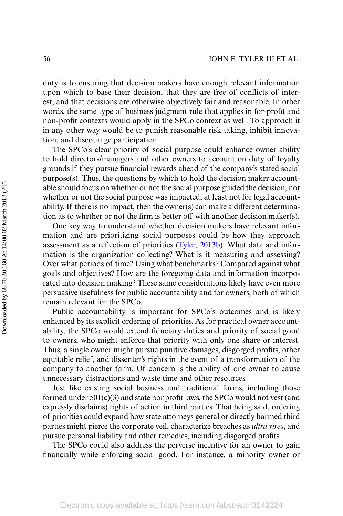duty is to ensuring that decision makers have enough relevant information upon which to base their decision, that they are free of conflicts of interest, and that decisions are otherwise objectively fair and reasonable. In other words, the same type of business judgment rule that applies in for-profit and non-profit contexts would apply in the SPCo context as well. To approach it in any other way would be to punish reasonable risk taking, inhibit innovation, and discourage participation.

The SPCo's clear priority of social purpose could enhance owner ability to hold directors/managers and other owners to account on duty of loyalty grounds if they pursue financial rewards ahead of the company's stated social purpose(s). Thus, the questions by which to hold the decision maker accountable should focus on whether or not the social purpose guided the decision, not whether or not the social purpose was impacted, at least not for legal accountability. If there is no impact, then the owner(s) can make a different determination as to whether or not the firm is better off with another decision maker(s).

One key way to understand whether decision makers have relevant information and are prioritizing social purposes could be how they approach assessment as a reflection of priorities [\(Tyler, 2013b\)](#page-24-8). What data and information is the organization collecting? What is it measuring and assessing? Over what periods of time? Using what benchmarks? Compared against what goals and objectives? How are the foregoing data and information incorporated into decision making? These same considerations likely have even more persuasive usefulness for public accountability and for owners, both of which remain relevant for the SPCo.

Public accountability is important for SPCo's outcomes and is likely enhanced by its explicit ordering of priorities. As for practical owner accountability, the SPCo would extend fiduciary duties and priority of social good to owners, who might enforce that priority with only one share or interest. Thus, a single owner might pursue punitive damages, disgorged profits, other equitable relief, and dissenter's rights in the event of a transformation of the company to another form. Of concern is the ability of one owner to cause unnecessary distractions and waste time and other resources.

Just like existing social business and traditional forms, including those formed under  $501(c)(3)$  and state nonprofit laws, the SPCo would not vest (and expressly disclaims) rights of action in third parties. That being said, ordering of priorities could expand how state attorneys general or directly harmed third parties might pierce the corporate veil, characterize breaches as *ultra vires*, and pursue personal liability and other remedies, including disgorged profits.

The SPCo could also address the perverse incentive for an owner to gain financially while enforcing social good. For instance, a minority owner or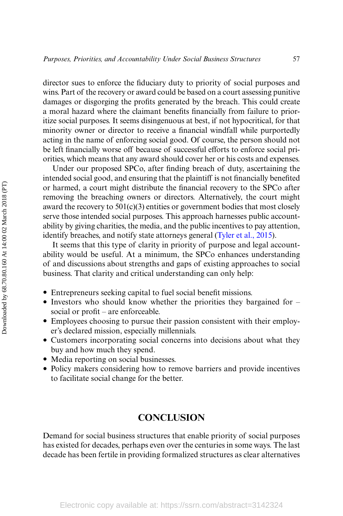director sues to enforce the fiduciary duty to priority of social purposes and wins. Part of the recovery or award could be based on a court assessing punitive damages or disgorging the profits generated by the breach. This could create a moral hazard where the claimant benefits financially from failure to prioritize social purposes. It seems disingenuous at best, if not hypocritical, for that minority owner or director to receive a financial windfall while purportedly acting in the name of enforcing social good. Of course, the person should not be left financially worse off because of successful efforts to enforce social priorities, which means that any award should cover her or his costs and expenses.

Under our proposed SPCo, after finding breach of duty, ascertaining the intended social good, and ensuring that the plaintiff is not financially benefited or harmed, a court might distribute the financial recovery to the SPCo after removing the breaching owners or directors. Alternatively, the court might award the recovery to  $501(c)(3)$  entities or government bodies that most closely serve those intended social purposes. This approach harnesses public accountability by giving charities, the media, and the public incentives to pay attention, identify breaches, and notify state attorneys general [\(Tyler et al., 2015\)](#page-24-0).

It seems that this type of clarity in priority of purpose and legal accountability would be useful. At a minimum, the SPCo enhances understanding of and discussions about strengths and gaps of existing approaches to social business. That clarity and critical understanding can only help:

- Entrepreneurs seeking capital to fuel social benefit missions.
- Investors who should know whether the priorities they bargained for social or profit – are enforceable.
- Employees choosing to pursue their passion consistent with their employer's declared mission, especially millennials.
- Customers incorporating social concerns into decisions about what they buy and how much they spend.
- Media reporting on social businesses.
- Policy makers considering how to remove barriers and provide incentives to facilitate social change for the better.

## **Conclusion**

Demand for social business structures that enable priority of social purposes has existed for decades, perhaps even over the centuries in some ways. The last decade has been fertile in providing formalized structures as clear alternatives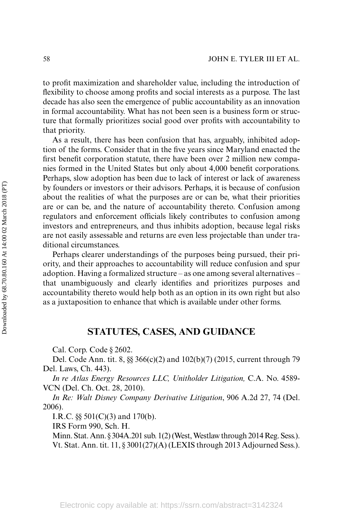to profit maximization and shareholder value, including the introduction of flexibility to choose among profits and social interests as a purpose. The last decade has also seen the emergence of public accountability as an innovation in formal accountability. What has not been seen is a business form or structure that formally prioritizes social good over profits with accountability to that priority.

As a result, there has been confusion that has, arguably, inhibited adoption of the forms. Consider that in the five years since Maryland enacted the first benefit corporation statute, there have been over 2 million new companies formed in the United States but only about 4,000 benefit corporations. Perhaps, slow adoption has been due to lack of interest or lack of awareness by founders or investors or their advisors. Perhaps, it is because of confusion about the realities of what the purposes are or can be, what their priorities are or can be, and the nature of accountability thereto. Confusion among regulators and enforcement officials likely contributes to confusion among investors and entrepreneurs, and thus inhibits adoption, because legal risks are not easily assessable and returns are even less projectable than under traditional circumstances.

Perhaps clearer understandings of the purposes being pursued, their priority, and their approaches to accountability will reduce confusion and spur adoption. Having a formalized structure – as one among several alternatives – that unambiguously and clearly identifies and prioritizes purposes and accountability thereto would help both as an option in its own right but also as a juxtaposition to enhance that which is available under other forms.

### **Statutes, Cases, and Guidance**

Cal. Corp. Code § 2602.

Del. Code Ann. tit. 8, §§ 366(c)(2) and 102(b)(7) (2015, current through 79 Del. Laws, Ch. 443).

*In re Atlas Energy Resources LLC, Unitholder Litigation,* C.A. No. 4589- VCN (Del. Ch. Oct. 28, 2010).

*In Re: Walt Disney Company Derivative Litigation*, 906 A.2d 27, 74 (Del. 2006).

I.R.C. §§ 501(C)(3) and 170(b).

IRS Form 990, Sch. H.

Minn. Stat. Ann. § 304A.201 sub. 1(2) (West, Westlaw through 2014 Reg. Sess.). Vt. Stat. Ann. tit. 11, § 3001(27)(A) (LEXIS through 2013 Adjourned Sess.).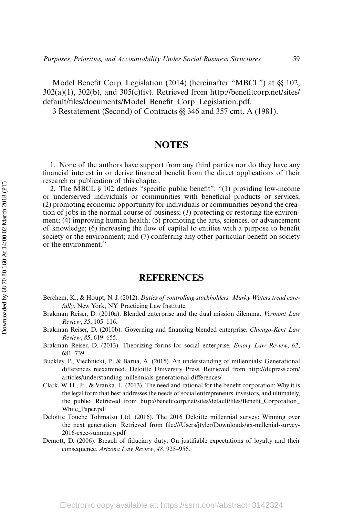Model Benefit Corp. Legislation (2014) (hereinafter "MBCL") at §§ 102,  $302(a)(1)$ ,  $302(b)$ , and  $305(c)(iv)$ . Retrieved from http://benefitcorp.net/sites/ default/files/documents/Model\_Benefit\_Corp\_Legislation.pdf.

3 Restatement (Second) of Contracts §§ 346 and 357 cmt. A (1981).

### **Notes**

<span id="page-23-0"></span>1. None of the authors have support from any third parties nor do they have any financial interest in or derive financial benefit from the direct applications of their research or publication of this chapter.

<span id="page-23-4"></span>2. The MBCL § 102 defines "specific public benefit": "(1) providing low-income or underserved individuals or communities with beneficial products or services; (2) promoting economic opportunity for individuals or communities beyond the creation of jobs in the normal course of business; (3) protecting or restoring the environment; (4) improving human health; (5) promoting the arts, sciences, or advancement of knowledge; (6) increasing the flow of capital to entities with a purpose to benefit society or the environment; and (7) conferring any other particular benefit on society or the environment."

### **References**

- <span id="page-23-8"></span>Berchem, K., & Houpt, N. J. (2012). *Duties of controlling stockholders: Murky Waters tread carefully*. New York, NY: Practicing Law Institute.
- <span id="page-23-5"></span>Brakman Reiser, D. (2010a). Blended enterprise and the dual mission dilemma. *Vermont Law Review*, *35*, 105–116.
- <span id="page-23-6"></span>Brakman Reiser, D. (2010b). Governing and financing blended enterprise. *Chicago-Kent Law Review*, *85*, 619–655.
- <span id="page-23-3"></span>Brakman Reiser, D. (2013). Theorizing forms for social enterprise. *Emory Law Review*, *62*, 681–739.
- <span id="page-23-1"></span>Buckley, P., Viechnicki, P., & Barua, A. (2015). An understanding of millennials: Generational differences reexamined. Deloitte University Press. Retrieved from http://dupress.com/ articles/understanding-millennials-generational-differences/
- Clark, W. H., Jr., & Vranka, L. (2013). The need and rational for the benefit corporation: Why it is the legal form that best addresses the needs of social entrepreneurs, investors, and ultimately, the public. Retrieved from http://benefitcorp.net/sites/default/files/Benefit\_Corporation\_ White\_Paper.pdf
- <span id="page-23-2"></span>Deloitte Touche Tohmatsu Ltd. (2016). The 2016 Deloitte millennial survey: Winning over the next generation. Retrieved from file:///Users/jtyler/Downloads/gx-millenial-survey-2016-exec-summary.pdf
- <span id="page-23-7"></span>Demott, D. (2006). Breach of fiduciary duty: On justifiable expectations of loyalty and their consequence. *Arizona Law Review*, *48*, 925–956.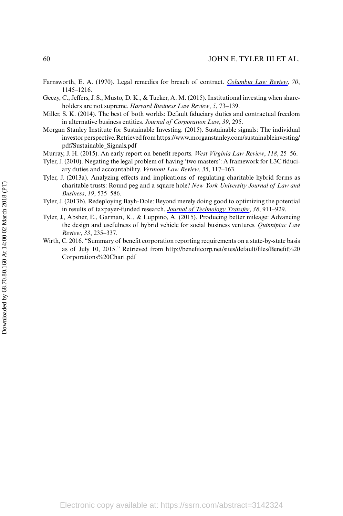#### 60 JOHN E. TYLER III ET AL.

- <span id="page-24-6"></span>Farnsworth, E. A. (1970). Legal remedies for breach of contract. *[Columbia Law Review](http://www.emeraldinsight.com/action/showLinks?doi=10.1108%2FS1074-754020170000019002&crossref=10.2307%2F1121184&citationId=p_9)*, *70*, 1145–1216.
- <span id="page-24-1"></span>Geczy, C., Jeffers, J. S., Musto, D. K., & Tucker, A. M. (2015). Institutional investing when shareholders are not supreme. *Harvard Business Law Review*, *5*, 73–139.
- <span id="page-24-3"></span>Miller, S. K. (2014). The best of both worlds: Default fiduciary duties and contractual freedom in alternative business entities. *Journal of Corporation Law*, *39*, 295.
- Morgan Stanley Institute for Sustainable Investing. (2015). Sustainable signals: The individual investor perspective. Retrieved from https://www.morganstanley.com/sustainableinvesting/ pdf/Sustainable\_Signals.pdf
- <span id="page-24-4"></span>Murray, J. H. (2015). An early report on benefit reports. *West Virginia Law Review*, *118*, 25–56.
- <span id="page-24-2"></span>Tyler, J. (2010). Negating the legal problem of having 'two masters': A framework for L3C fiduciary duties and accountability. *Vermont Law Review*, *35*, 117–163.
- <span id="page-24-7"></span>Tyler, J. (2013a). Analyzing effects and implications of regulating charitable hybrid forms as charitable trusts: Round peg and a square hole? *New York University Journal of Law and Business*, *19*, 535–586.
- <span id="page-24-8"></span>Tyler, J. (2013b). Redeploying Bayh-Dole: Beyond merely doing good to optimizing the potential in results of taxpayer-funded research. *[Journal of Technology Transfer](http://www.emeraldinsight.com/action/showLinks?doi=10.1108%2FS1074-754020170000019002&crossref=10.1007%2Fs10961-011-9231-x&citationId=p_16)*, *38*, 911–929.
- <span id="page-24-0"></span>Tyler, J., Absher, E., Garman, K., & Luppino, A. (2015). Producing better mileage: Advancing the design and usefulness of hybrid vehicle for social business ventures. *Quinnipiac Law Review*, *33*, 235–337.
- <span id="page-24-5"></span>Wirth, C. 2016. "Summary of benefit corporation reporting requirements on a state-by-state basis as of July 10, 2015." Retrieved from http://benefitcorp.net/sites/default/files/Benefit%20 Corporations%20Chart.pdf